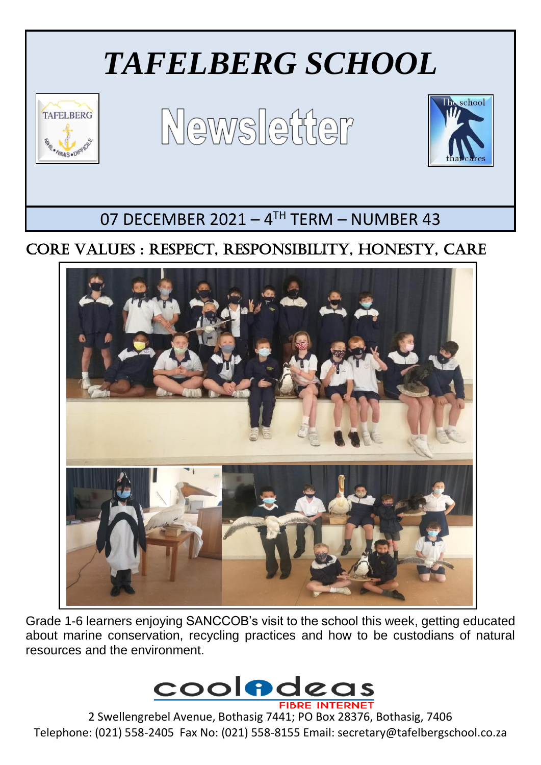

# CORE VALUES : RESPECT, RESPONSIBILITY, HONESTY, CARE



Grade 1-6 learners enjoying SANCCOB's visit to the school this week, getting educated about marine conservation, recycling practices and how to be custodians of natural resources and the environment.



2 Swellengrebel Avenue, Bothasig 7441; PO Box 28376, Bothasig, 7406 Telephone: (021) 558-2405 Fax No: (021) 558-8155 Email: secretary@tafelbergschool.co.za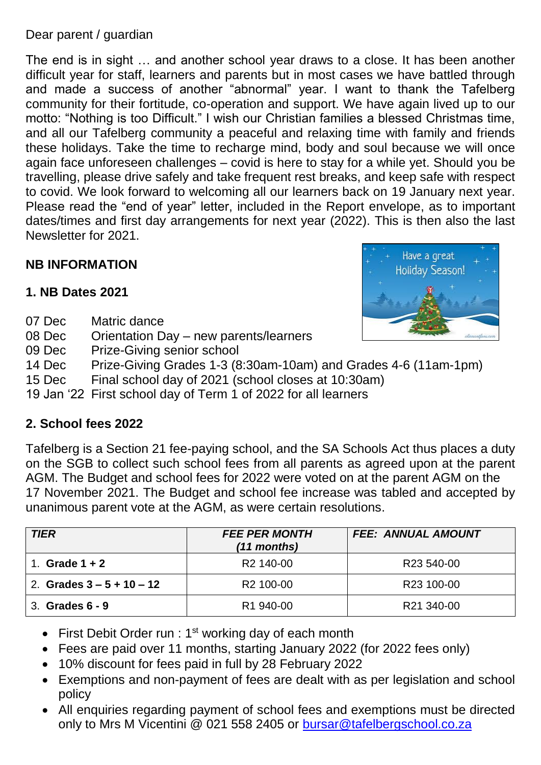## Dear parent / guardian

The end is in sight … and another school year draws to a close. It has been another difficult year for staff, learners and parents but in most cases we have battled through and made a success of another "abnormal" year. I want to thank the Tafelberg community for their fortitude, co-operation and support. We have again lived up to our motto: "Nothing is too Difficult." I wish our Christian families a blessed Christmas time, and all our Tafelberg community a peaceful and relaxing time with family and friends these holidays. Take the time to recharge mind, body and soul because we will once again face unforeseen challenges – covid is here to stay for a while yet. Should you be travelling, please drive safely and take frequent rest breaks, and keep safe with respect to covid. We look forward to welcoming all our learners back on 19 January next year. Please read the "end of year" letter, included in the Report envelope, as to important dates/times and first day arrangements for next year (2022). This is then also the last Newsletter for 2021.

## **NB INFORMATION**

## **1. NB Dates 2021**

- 07 Dec Matric dance
- 08 Dec Orientation Day new parents/learners
- 09 Dec Prize-Giving senior school
- 14 Dec Prize-Giving Grades 1-3 (8:30am-10am) and Grades 4-6 (11am-1pm)
- 15 Dec Final school day of 2021 (school closes at 10:30am)
- 19 Jan '22 First school day of Term 1 of 2022 for all learners

## **2. School fees 2022**

Tafelberg is a Section 21 fee-paying school, and the SA Schools Act thus places a duty on the SGB to collect such school fees from all parents as agreed upon at the parent AGM. The Budget and school fees for 2022 were voted on at the parent AGM on the 17 November 2021. The Budget and school fee increase was tabled and accepted by unanimous parent vote at the AGM, as were certain resolutions.

| <b>TIER</b>                 | <b>FEE PER MONTH</b><br>(11 months) | <b>FEE: ANNUAL AMOUNT</b> |
|-----------------------------|-------------------------------------|---------------------------|
| Grade $1 + 2$               | R <sub>2</sub> 140-00               | R <sub>23</sub> 540-00    |
| 2. Grades $3 - 5 + 10 - 12$ | R <sub>2</sub> 100-00               | R23 100-00                |
| 3. Grades 6 - 9             | R <sub>1</sub> 940-00               | R21 340-00                |

- First Debit Order run :  $1<sup>st</sup>$  working day of each month
- Fees are paid over 11 months, starting January 2022 (for 2022 fees only)
- 10% discount for fees paid in full by 28 February 2022
- Exemptions and non-payment of fees are dealt with as per legislation and school policy
- All enquiries regarding payment of school fees and exemptions must be directed only to Mrs M Vicentini @ 021 558 2405 or [bursar@tafelbergschool.co.za](mailto:bursar@tafelbergschool.co.za)

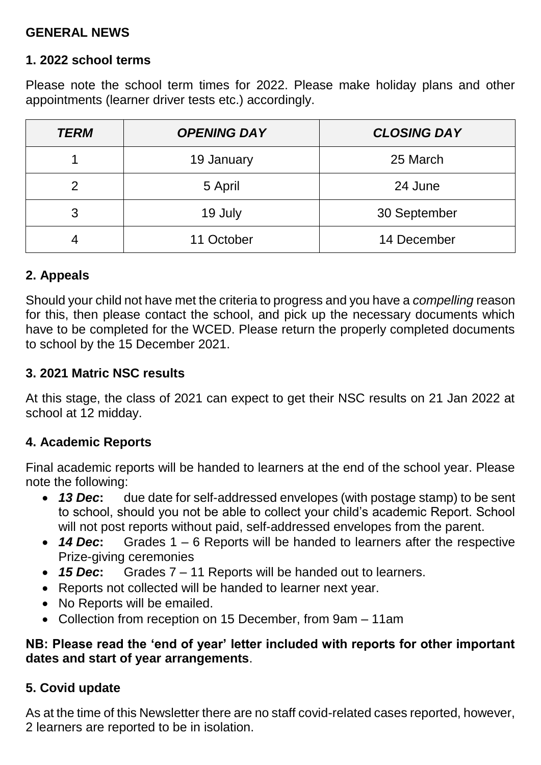## **GENERAL NEWS**

#### **1. 2022 school terms**

Please note the school term times for 2022. Please make holiday plans and other appointments (learner driver tests etc.) accordingly.

| <b>TERM</b>   | <b>OPENING DAY</b> | <b>CLOSING DAY</b> |
|---------------|--------------------|--------------------|
|               | 19 January         | 25 March           |
| $\mathcal{P}$ | 5 April            | 24 June            |
| 3             | 19 July            | 30 September       |
|               | 11 October         | 14 December        |

## **2. Appeals**

Should your child not have met the criteria to progress and you have a *compelling* reason for this, then please contact the school, and pick up the necessary documents which have to be completed for the WCED. Please return the properly completed documents to school by the 15 December 2021.

## **3. 2021 Matric NSC results**

At this stage, the class of 2021 can expect to get their NSC results on 21 Jan 2022 at school at 12 midday.

## **4. Academic Reports**

Final academic reports will be handed to learners at the end of the school year. Please note the following:

- *13 Dec***:** due date for self-addressed envelopes (with postage stamp) to be sent to school, should you not be able to collect your child's academic Report. School will not post reports without paid, self-addressed envelopes from the parent.
- *14 Dec***:** Grades 1 6 Reports will be handed to learners after the respective Prize-giving ceremonies
- *15 Dec***:** Grades 7 11 Reports will be handed out to learners.
- Reports not collected will be handed to learner next year.
- No Reports will be emailed.
- Collection from reception on 15 December, from 9am 11am

## **NB: Please read the 'end of year' letter included with reports for other important dates and start of year arrangements**.

## **5. Covid update**

As at the time of this Newsletter there are no staff covid-related cases reported, however, 2 learners are reported to be in isolation.